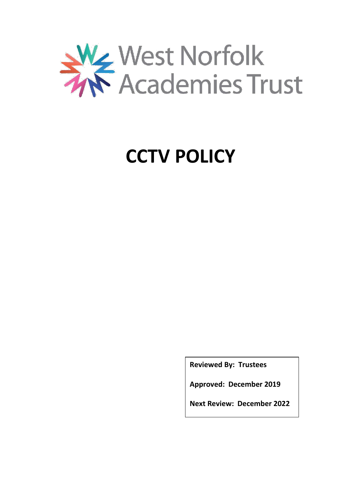

## **CCTV POLICY**

**Reviewed By: Trustees**

**Approved: December 2019**

**Next Review: December 2022**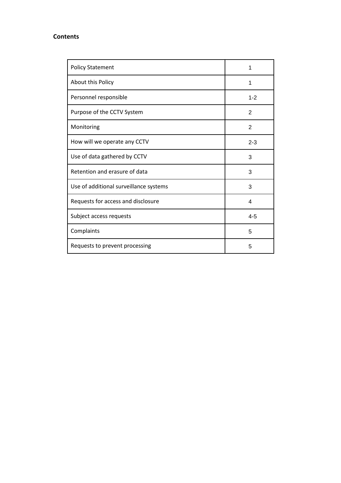## **Contents**

| <b>Policy Statement</b>                |                |
|----------------------------------------|----------------|
| About this Policy                      | 1              |
| Personnel responsible                  | $1 - 2$        |
| Purpose of the CCTV System             | 2              |
| Monitoring                             | $\overline{2}$ |
| How will we operate any CCTV           | $2 - 3$        |
| Use of data gathered by CCTV           | 3              |
| Retention and erasure of data          | 3              |
| Use of additional surveillance systems | 3              |
| Requests for access and disclosure     | 4              |
| Subject access requests                | $4 - 5$        |
| Complaints                             | 5              |
| Requests to prevent processing         | 5              |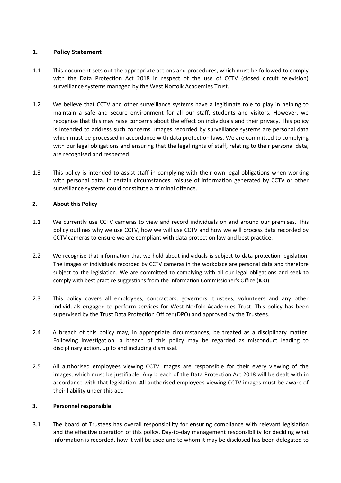## **1. Policy Statement**

- 1.1 This document sets out the appropriate actions and procedures, which must be followed to comply with the Data Protection Act 2018 in respect of the use of CCTV (closed circuit television) surveillance systems managed by the West Norfolk Academies Trust.
- 1.2 We believe that CCTV and other surveillance systems have a legitimate role to play in helping to maintain a safe and secure environment for all our staff, students and visitors. However, we recognise that this may raise concerns about the effect on individuals and their privacy. This policy is intended to address such concerns. Images recorded by surveillance systems are personal data which must be processed in accordance with data protection laws. We are committed to complying with our legal obligations and ensuring that the legal rights of staff, relating to their personal data, are recognised and respected.
- 1.3 This policy is intended to assist staff in complying with their own legal obligations when working with personal data. In certain circumstances, misuse of information generated by CCTV or other surveillance systems could constitute a criminal offence.

## **2. About this Policy**

- 2.1 We currently use CCTV cameras to view and record individuals on and around our premises. This policy outlines why we use CCTV, how we will use CCTV and how we will process data recorded by CCTV cameras to ensure we are compliant with data protection law and best practice.
- 2.2 We recognise that information that we hold about individuals is subject to data protection legislation. The images of individuals recorded by CCTV cameras in the workplace are personal data and therefore subject to the legislation. We are committed to complying with all our legal obligations and seek to comply with best practice suggestions from the Information Commissioner's Office (**ICO**).
- 2.3 This policy covers all employees, contractors, governors, trustees, volunteers and any other individuals engaged to perform services for West Norfolk Academies Trust. This policy has been supervised by the Trust Data Protection Officer (DPO) and approved by the Trustees.
- 2.4 A breach of this policy may, in appropriate circumstances, be treated as a disciplinary matter. Following investigation, a breach of this policy may be regarded as misconduct leading to disciplinary action, up to and including dismissal.
- 2.5 All authorised employees viewing CCTV images are responsible for their every viewing of the images, which must be justifiable. Any breach of the Data Protection Act 2018 will be dealt with in accordance with that legislation. All authorised employees viewing CCTV images must be aware of their liability under this act.

## **3. Personnel responsible**

3.1 The board of Trustees has overall responsibility for ensuring compliance with relevant legislation and the effective operation of this policy. Day-to-day management responsibility for deciding what information is recorded, how it will be used and to whom it may be disclosed has been delegated to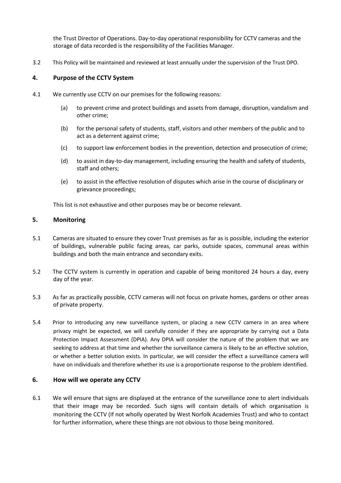the Trust Director of Operations. Day-to-day operational responsibility for CCTV cameras and the storage of data recorded is the responsibility of the Facilities Manager.

3.2 This Policy will be maintained and reviewed at least annually under the supervision of the Trust DPO.

## **4. Purpose of the CCTV System**

- 4.1 We currently use CCTV on our premises for the following reasons:
	- (a) to prevent crime and protect buildings and assets from damage, disruption, vandalism and other crime;
	- (b) for the personal safety of students, staff, visitors and other members of the public and to act as a deterrent against crime;
	- (c) to support law enforcement bodies in the prevention, detection and prosecution of crime;
	- (d) to assist in day-to-day management, including ensuring the health and safety of students, staff and others;
	- (e) to assist in the effective resolution of disputes which arise in the course of disciplinary or grievance proceedings;

This list is not exhaustive and other purposes may be or become relevant.

#### **5. Monitoring**

- 5.1 Cameras are situated to ensure they cover Trust premises as far as is possible, including the exterior of buildings, vulnerable public facing areas, car parks, outside spaces, communal areas within buildings and both the main entrance and secondary exits.
- 5.2 The CCTV system is currently in operation and capable of being monitored 24 hours a day, every day of the year.
- 5.3 As far as practically possible, CCTV cameras will not focus on private homes, gardens or other areas of private property.
- 5.4 Prior to introducing any new surveillance system, or placing a new CCTV camera in an area where privacy might be expected, we will carefully consider if they are appropriate by carrying out a Data Protection Impact Assessment (DPIA). Any DPIA will consider the nature of the problem that we are seeking to address at that time and whether the surveillance camera is likely to be an effective solution, or whether a better solution exists. In particular, we will consider the effect a surveillance camera will have on individuals and therefore whether its use is a proportionate response to the problem identified.

#### **6. How will we operate any CCTV**

6.1 We will ensure that signs are displayed at the entrance of the surveillance zone to alert individuals that their image may be recorded. Such signs will contain details of which organisation is monitoring the CCTV (If not wholly operated by West Norfolk Academies Trust) and who to contact for further information, where these things are not obvious to those being monitored.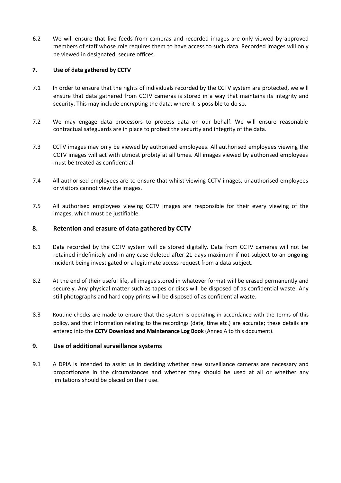6.2 We will ensure that live feeds from cameras and recorded images are only viewed by approved members of staff whose role requires them to have access to such data. Recorded images will only be viewed in designated, secure offices.

## **7. Use of data gathered by CCTV**

- 7.1 In order to ensure that the rights of individuals recorded by the CCTV system are protected, we will ensure that data gathered from CCTV cameras is stored in a way that maintains its integrity and security. This may include encrypting the data, where it is possible to do so.
- 7.2 We may engage data processors to process data on our behalf. We will ensure reasonable contractual safeguards are in place to protect the security and integrity of the data.
- 7.3 CCTV images may only be viewed by authorised employees. All authorised employees viewing the CCTV images will act with utmost probity at all times. All images viewed by authorised employees must be treated as confidential.
- 7.4 All authorised employees are to ensure that whilst viewing CCTV images, unauthorised employees or visitors cannot view the images.
- 7.5 All authorised employees viewing CCTV images are responsible for their every viewing of the images, which must be justifiable.

#### **8. Retention and erasure of data gathered by CCTV**

- 8.1 Data recorded by the CCTV system will be stored digitally. Data from CCTV cameras will not be retained indefinitely and in any case deleted after 21 days maximum if not subject to an ongoing incident being investigated or a legitimate access request from a data subject.
- 8.2 At the end of their useful life, all images stored in whatever format will be erased permanently and securely. Any physical matter such as tapes or discs will be disposed of as confidential waste. Any still photographs and hard copy prints will be disposed of as confidential waste.
- 8.3 Routine checks are made to ensure that the system is operating in accordance with the terms of this policy, and that information relating to the recordings (date, time etc.) are accurate; these details are entered into the **CCTV Download and Maintenance Log Book** (Annex A to this document).

## **9. Use of additional surveillance systems**

9.1 A DPIA is intended to assist us in deciding whether new surveillance cameras are necessary and proportionate in the circumstances and whether they should be used at all or whether any limitations should be placed on their use.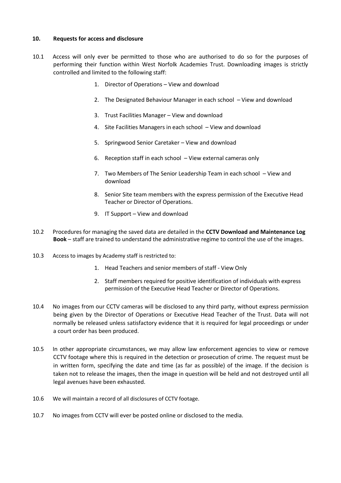#### **10. Requests for access and disclosure**

- 10.1 Access will only ever be permitted to those who are authorised to do so for the purposes of performing their function within West Norfolk Academies Trust. Downloading images is strictly controlled and limited to the following staff:
	- 1. Director of Operations View and download
	- 2. The Designated Behaviour Manager in each school View and download
	- 3. Trust Facilities Manager View and download
	- 4. Site Facilities Managers in each school View and download
	- 5. Springwood Senior Caretaker View and download
	- 6. Reception staff in each school View external cameras only
	- 7. Two Members of The Senior Leadership Team in each school View and download
	- 8. Senior Site team members with the express permission of the Executive Head Teacher or Director of Operations.
	- 9. IT Support View and download
- 10.2 Procedures for managing the saved data are detailed in the **CCTV Download and Maintenance Log Book** – staff are trained to understand the administrative regime to control the use of the images.
- 10.3 Access to images by Academy staff is restricted to:
	- 1. Head Teachers and senior members of staff View Only
	- 2. Staff members required for positive identification of individuals with express permission of the Executive Head Teacher or Director of Operations.
- 10.4 No images from our CCTV cameras will be disclosed to any third party, without express permission being given by the Director of Operations or Executive Head Teacher of the Trust. Data will not normally be released unless satisfactory evidence that it is required for legal proceedings or under a court order has been produced.
- 10.5 In other appropriate circumstances, we may allow law enforcement agencies to view or remove CCTV footage where this is required in the detection or prosecution of crime. The request must be in written form, specifying the date and time (as far as possible) of the image. If the decision is taken not to release the images, then the image in question will be held and not destroyed until all legal avenues have been exhausted.
- 10.6 We will maintain a record of all disclosures of CCTV footage.
- 10.7 No images from CCTV will ever be posted online or disclosed to the media.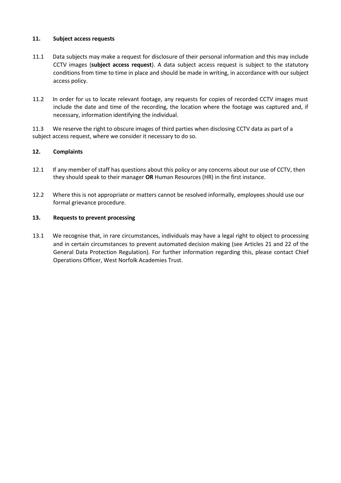#### **11. Subject access requests**

- 11.1 Data subjects may make a request for disclosure of their personal information and this may include CCTV images (**subject access request**). A data subject access request is subject to the statutory conditions from time to time in place and should be made in writing, in accordance with our subject access policy.
- 11.2 In order for us to locate relevant footage, any requests for copies of recorded CCTV images must include the date and time of the recording, the location where the footage was captured and, if necessary, information identifying the individual.

11.3 We reserve the right to obscure images of third parties when disclosing CCTV data as part of a subject access request, where we consider it necessary to do so.

#### **12. Complaints**

- 12.1 If any member of staff has questions about this policy or any concerns about our use of CCTV, then they should speak to their manager **OR** Human Resources (HR) in the first instance.
- 12.2 Where this is not appropriate or matters cannot be resolved informally, employees should use our formal grievance procedure.

#### **13. Requests to prevent processing**

13.1 We recognise that, in rare circumstances, individuals may have a legal right to object to processing and in certain circumstances to prevent automated decision making (see Articles 21 and 22 of the General Data Protection Regulation). For further information regarding this, please contact Chief Operations Officer, West Norfolk Academies Trust.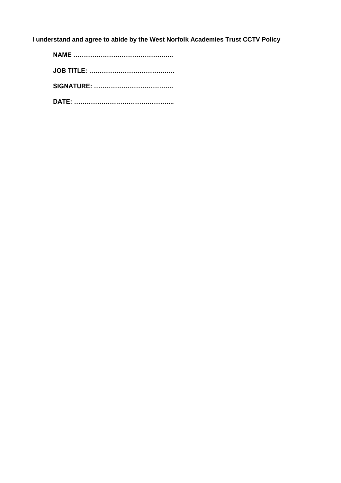**I understand and agree to abide by the West Norfolk Academies Trust CCTV Policy**